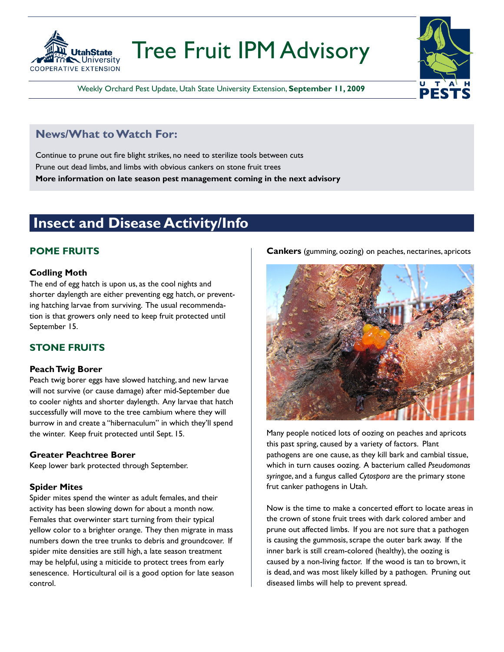

# Tree Fruit IPM Advisory

Weekly Orchard Pest Update, Utah State University Extension, **September 11, 2009**

### **News/What to Watch For:**

Continue to prune out fire blight strikes, no need to sterilize tools between cuts Prune out dead limbs, and limbs with obvious cankers on stone fruit trees **More information on late season pest management coming in the next advisory**

### **Insect and Disease Activity/Info**

### **POME FRUITS**

#### **Codling Moth**

The end of egg hatch is upon us, as the cool nights and shorter daylength are either preventing egg hatch, or preventing hatching larvae from surviving. The usual recommendation is that growers only need to keep fruit protected until September 15.

#### **STONE FRUITS**

#### **Peach Twig Borer**

Peach twig borer eggs have slowed hatching, and new larvae will not survive (or cause damage) after mid-September due to cooler nights and shorter daylength. Any larvae that hatch successfully will move to the tree cambium where they will burrow in and create a "hibernaculum" in which they'll spend the winter. Keep fruit protected until Sept. 15.

#### **Greater Peachtree Borer**

Keep lower bark protected through September.

#### **Spider Mites**

Spider mites spend the winter as adult females, and their activity has been slowing down for about a month now. Females that overwinter start turning from their typical yellow color to a brighter orange. They then migrate in mass numbers down the tree trunks to debris and groundcover. If spider mite densities are still high, a late season treatment may be helpful, using a miticide to protect trees from early senescence. Horticultural oil is a good option for late season control.

**Cankers** (gumming, oozing) on peaches, nectarines, apricots



Many people noticed lots of oozing on peaches and apricots this past spring, caused by a variety of factors. Plant pathogens are one cause, as they kill bark and cambial tissue, which in turn causes oozing. A bacterium called *Pseudomonas syringae*, and a fungus called *Cytospora* are the primary stone frut canker pathogens in Utah.

Now is the time to make a concerted effort to locate areas in the crown of stone fruit trees with dark colored amber and prune out affected limbs. If you are not sure that a pathogen is causing the gummosis, scrape the outer bark away. If the inner bark is still cream-colored (healthy), the oozing is caused by a non-living factor. If the wood is tan to brown, it is dead, and was most likely killed by a pathogen. Pruning out diseased limbs will help to prevent spread.

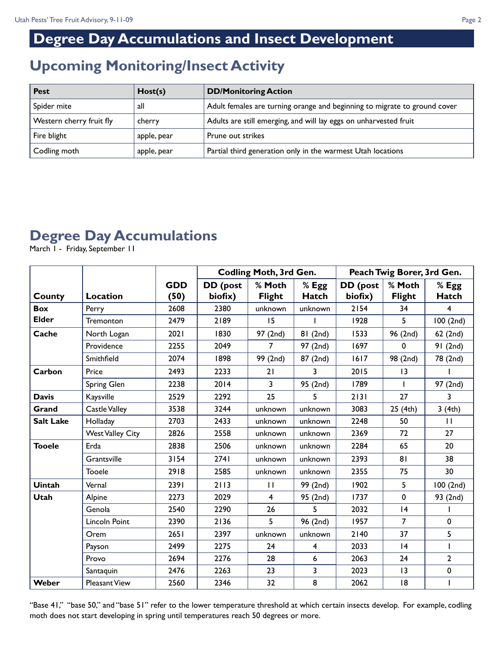## **Degree Day Accumulations and Insect Development**

### **Upcoming Monitoring/Insect Activity**

| <b>Pest</b>              | Host(s)     | <b>DD/Monitoring Action</b>                                               |
|--------------------------|-------------|---------------------------------------------------------------------------|
| Spider mite              | all         | Adult females are turning orange and beginning to migrate to ground cover |
| Western cherry fruit fly | cherry      | Adults are still emerging, and will lay eggs on unharvested fruit         |
| Fire blight              | apple, pear | Prune out strikes                                                         |
| Codling moth             | apple, pear | Partial third generation only in the warmest Utah locations               |

## **Degree Day Accumulations**

March 1 - Friday, September 11

|                  |                         |                    | <b>Codling Moth, 3rd Gen.</b> |                         | Peach Twig Borer, 3rd Gen. |                     |                         |                       |
|------------------|-------------------------|--------------------|-------------------------------|-------------------------|----------------------------|---------------------|-------------------------|-----------------------|
| <b>County</b>    | Location                | <b>GDD</b><br>(50) | DD (post<br>biofix)           | % Moth<br><b>Flight</b> | % Egg<br>Hatch             | DD (post<br>biofix) | % Moth<br><b>Flight</b> | % Egg<br><b>Hatch</b> |
| <b>Box</b>       | Perry                   | 2608               | 2380                          | unknown                 | unknown                    | 2154                | 34                      | $\overline{4}$        |
| <b>Elder</b>     | Tremonton               | 2479               | 2189                          | 15                      |                            | 1928                | 5                       | 100(2nd)              |
| Cache            | North Logan             | 2021               | 1830                          | 97 (2nd)                | 81 (2nd)                   | 1533                | 96 (2nd)                | 62(2nd)               |
|                  | Providence              | 2255               | 2049                          | 7                       | 97 (2nd)                   | 1697                | 0                       | 91(2nd)               |
|                  | Smithfield              | 2074               | 1898                          | 99 (2nd)                | 87 (2nd)                   | 1617                | 98 (2nd)                | 78 (2nd)              |
| Carbon           | Price                   | 2493               | 2233                          | 21                      | 3                          | 2015                | $\overline{13}$         |                       |
|                  | Spring Glen             | 2238               | 2014                          | 3                       | 95 (2nd)                   | 1789                |                         | 97 (2nd)              |
| <b>Davis</b>     | Kaysville               | 2529               | 2292                          | 25                      | 5                          | 2131                | 27                      | 3                     |
| Grand            | <b>Castle Valley</b>    | 3538               | 3244                          | unknown                 | unknown                    | 3083                | 25 (4th)                | 3(4th)                |
| <b>Salt Lake</b> | Holladay                | 2703               | 2433                          | unknown                 | unknown                    | 2248                | 50                      | $\mathbf{H}$          |
|                  | <b>West Valley City</b> | 2826               | 2558                          | unknown                 | unknown                    | 2369                | 72                      | 27                    |
| <b>Tooele</b>    | Erda                    | 2838               | 2506                          | unknown                 | unknown                    | 2284                | 65                      | 20                    |
|                  | Grantsville             | 3154               | 2741                          | unknown                 | unknown                    | 2393                | 81                      | 38                    |
|                  | Tooele                  | 2918               | 2585                          | unknown                 | unknown                    | 2355                | 75                      | 30                    |
| <b>Uintah</b>    | Vernal                  | 2391               | 2113                          | $\mathbf{H}$            | 99 (2nd)                   | 1902                | 5                       | 100 (2nd)             |
| <b>Utah</b>      | Alpine                  | 2273               | 2029                          | 4                       | 95 (2nd)                   | 1737                | $\pmb{0}$               | 93 (2nd)              |
|                  | Genola                  | 2540               | 2290                          | 26                      | 5                          | 2032                | 4                       |                       |
|                  | Lincoln Point           | 2390               | 2136                          | 5                       | 96 (2nd)                   | 1957                | $\overline{7}$          | 0                     |
|                  | Orem                    | 2651               | 2397                          | unknown                 | unknown                    | 2140                | 37                      | 5                     |
|                  | Payson                  | 2499               | 2275                          | 24                      | 4                          | 2033                | 4                       | ı                     |
|                  | Provo                   | 2694               | 2276                          | 28                      | $6\phantom{1}6$            | 2063                | 24                      | $\overline{2}$        |
|                  | Santaquin               | 2476               | 2263                          | 23                      | 3                          | 2023                | 13                      | 0                     |
| Weber            | <b>Pleasant View</b>    | 2560               | 2346                          | 32                      | 8                          | 2062                | 18                      | ı                     |

"Base 41," "base 50," and "base 51" refer to the lower temperature threshold at which certain insects develop. For example, codling moth does not start developing in spring until temperatures reach 50 degrees or more.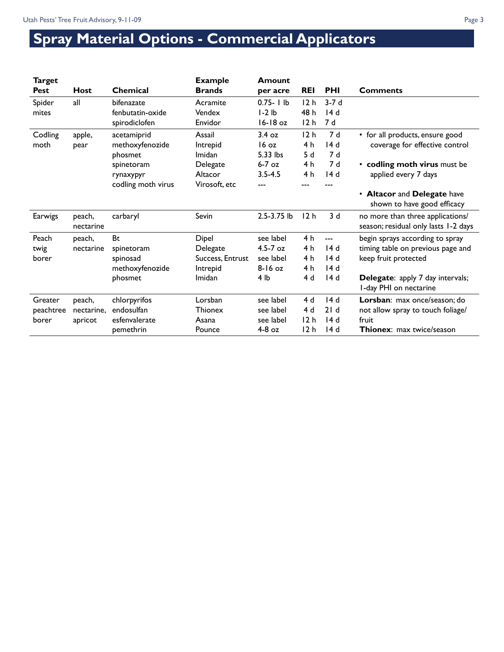# **Spray Material Options - Commercial Applicators**

| <b>Target</b><br><b>Pest</b> | <b>Host</b>         | <b>Chemical</b>    | <b>Example</b><br><b>Brands</b> | Amount<br>per acre | <b>REI</b>      | <b>PHI</b> | <b>Comments</b>                                                          |
|------------------------------|---------------------|--------------------|---------------------------------|--------------------|-----------------|------------|--------------------------------------------------------------------------|
| Spider                       | all                 | bifenazate         | Acramite                        | $0.75 - 1 lb$      | 12h             | $3-7d$     |                                                                          |
| mites                        |                     | fenbutatin-oxide   | Vendex                          | $I-2Ib$            | 48 h            | 14d        |                                                                          |
|                              |                     | spirodiclofen      | Envidor                         | 16-18 oz           | 12 <sub>h</sub> | 7 d        |                                                                          |
| Codling                      | apple,              | acetamiprid        | Assail                          | 3.4 oz             | 12h             | 7 d        | • for all products, ensure good                                          |
| moth                         | pear                | methoxyfenozide    | Intrepid                        | 16 oz              | 4 <sub>h</sub>  | 14 d       | coverage for effective control                                           |
|                              |                     | phosmet            | Imidan                          | 5.33 lbs           | 5d              | 7 d        |                                                                          |
|                              |                     | spinetoram         | Delegate                        | $6-7$ oz           | 4 h             | 7 d        | • codling moth virus must be                                             |
|                              |                     | rynaxypyr          | Altacor                         | $3.5 - 4.5$        | 4 h             | 14d        | applied every 7 days                                                     |
|                              |                     | codling moth virus | Virosoft, etc                   |                    | ---             |            |                                                                          |
|                              |                     |                    |                                 |                    |                 |            | • Altacor and Delegate have<br>shown to have good efficacy               |
| Earwigs                      | peach,<br>nectarine | carbaryl           | Sevin                           | 2.5-3.75 lb        | 12 <sub>h</sub> | 3d         | no more than three applications/<br>season; residual only lasts 1-2 days |
| Peach                        | peach,              | Bt                 | Dipel                           | see label          | 4 h             | $---$      | begin sprays according to spray                                          |
| twig                         | nectarine           | spinetoram         | Delegate                        | $4.5 - 7$ oz       | 4 h             | 14 d       | timing table on previous page and                                        |
| borer                        |                     | spinosad           | Success, Entrust                | see label          | 4 <sub>h</sub>  | 14d        | keep fruit protected                                                     |
|                              |                     | methoxyfenozide    | Intrepid                        | $8 - 16$ oz        | 4 <sub>h</sub>  | 14 d       |                                                                          |
|                              |                     | phosmet            | Imidan                          | 4 lb               | 4 d             | 14 d       | Delegate: apply 7 day intervals;<br>I-day PHI on nectarine               |
| Greater                      | peach,              | chlorpyrifos       | Lorsban                         | see label          | 4d              | 14d        | Lorsban: max once/season; do                                             |
| peachtree                    | nectarine,          | endosulfan         | <b>Thionex</b>                  | see label          | 4d              | 21d        | not allow spray to touch foliage/                                        |
| borer                        | apricot             | esfenvalerate      | Asana                           | see label          | 12h             | 14d        | fruit                                                                    |
|                              |                     | pemethrin          | Pounce                          | $4-8$ oz           | 12 h            | 14 d       | <b>Thionex:</b> max twice/season                                         |